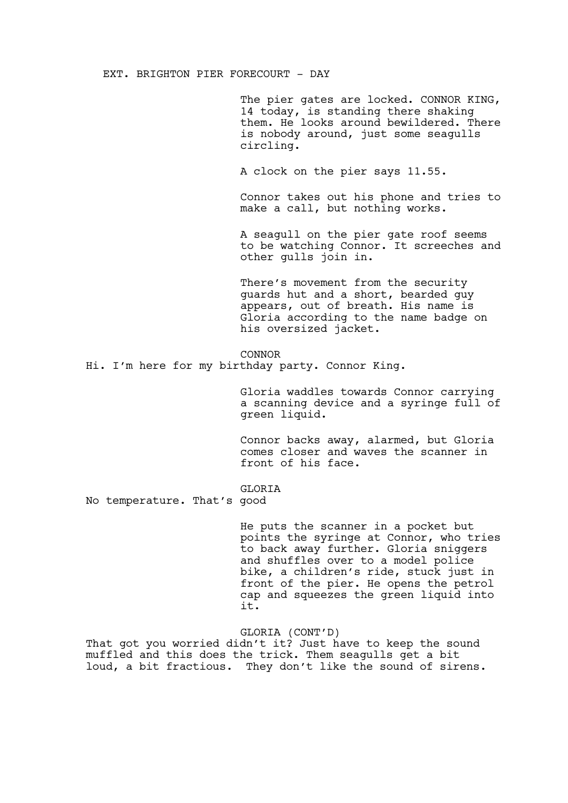EXT. BRIGHTON PIER FORECOURT - DAY

The pier gates are locked. CONNOR KING, 14 today, is standing there shaking them. He looks around bewildered. There is nobody around, just some seagulls circling.

A clock on the pier says 11.55.

Connor takes out his phone and tries to make a call, but nothing works.

A seagull on the pier gate roof seems to be watching Connor. It screeches and other gulls join in.

There's movement from the security guards hut and a short, bearded guy appears, out of breath. His name is Gloria according to the name badge on his oversized jacket.

# CONNOR

Hi. I'm here for my birthday party. Connor King.

Gloria waddles towards Connor carrying a scanning device and a syringe full of green liquid.

Connor backs away, alarmed, but Gloria comes closer and waves the scanner in front of his face.

GLORIA

No temperature. That's good

He puts the scanner in a pocket but points the syringe at Connor, who tries to back away further. Gloria sniggers and shuffles over to a model police bike, a children's ride, stuck just in front of the pier. He opens the petrol cap and squeezes the green liquid into it.

GLORIA (CONT'D)

That got you worried didn't it? Just have to keep the sound muffled and this does the trick. Them seagulls get a bit loud, a bit fractious. They don't like the sound of sirens.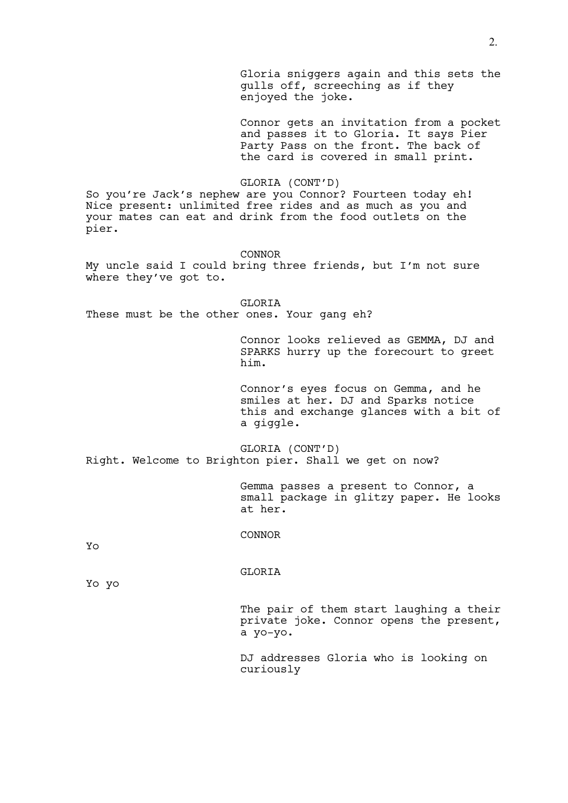Gloria sniggers again and this sets the gulls off, screeching as if they enjoyed the joke.

Connor gets an invitation from a pocket and passes it to Gloria. It says Pier Party Pass on the front. The back of the card is covered in small print.

GLORIA (CONT'D)

So you're Jack's nephew are you Connor? Fourteen today eh! Nice present: unlimited free rides and as much as you and your mates can eat and drink from the food outlets on the pier.

CONNOR

My uncle said I could bring three friends, but I'm not sure where they've got to.

**GLORIA** These must be the other ones. Your gang eh?

> Connor looks relieved as GEMMA, DJ and SPARKS hurry up the forecourt to greet him.

Connor's eyes focus on Gemma, and he smiles at her. DJ and Sparks notice this and exchange glances with a bit of a giggle.

GLORIA (CONT'D) Right. Welcome to Brighton pier. Shall we get on now?

> Gemma passes a present to Connor, a small package in glitzy paper. He looks at her.

CONNOR

Yo

GLORIA

Yo yo

The pair of them start laughing a their private joke. Connor opens the present, a yo-yo.

DJ addresses Gloria who is looking on curiously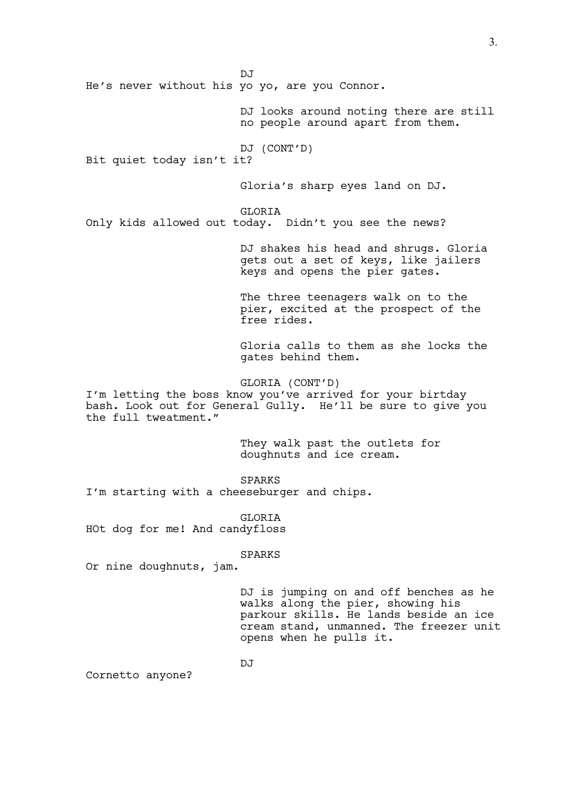$D.T$ He's never without his yo yo, are you Connor. DJ looks around noting there are still no people around apart from them. DJ (CONT'D) Bit quiet today isn't it? Gloria's sharp eyes land on DJ. GLORIA Only kids allowed out today. Didn't you see the news? DJ shakes his head and shrugs. Gloria gets out a set of keys, like jailers keys and opens the pier gates. The three teenagers walk on to the pier, excited at the prospect of the free rides. Gloria calls to them as she locks the gates behind them. GLORIA (CONT'D) I'm letting the boss know you've arrived for your birtday bash. Look out for General Gully. He'll be sure to give you the full tweatment." They walk past the outlets for doughnuts and ice cream. SPARKS I'm starting with a cheeseburger and chips. GLORIA HOt dog for me! And candyfloss SPARKS Or nine doughnuts, jam.

> DJ is jumping on and off benches as he walks along the pier, showing his parkour skills. He lands beside an ice cream stand, unmanned. The freezer unit opens when he pulls it.

3.

Cornetto anyone?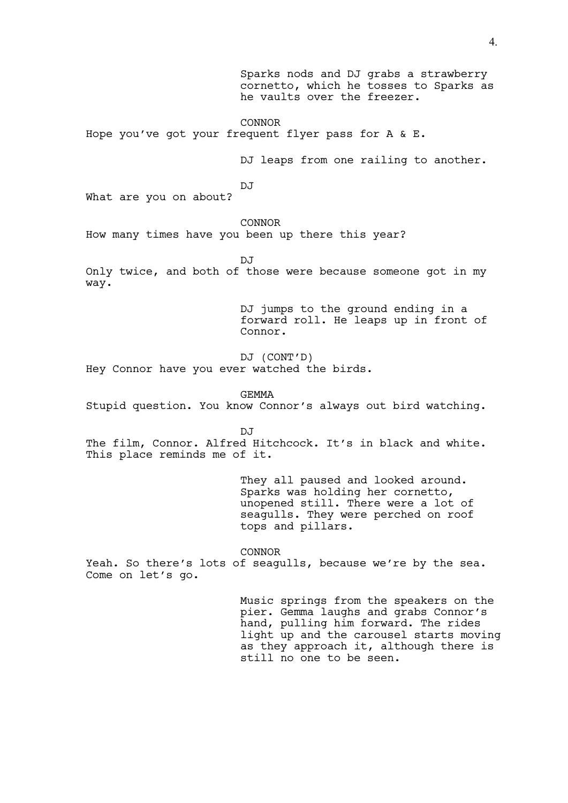Sparks nods and DJ grabs a strawberry cornetto, which he tosses to Sparks as he vaults over the freezer.

CONNOR Hope you've got your frequent flyer pass for A & E.

DJ leaps from one railing to another.

DJ

What are you on about?

CONNOR

How many times have you been up there this year?

 $D \cdot T$ 

Only twice, and both of those were because someone got in my way.

> DJ jumps to the ground ending in a forward roll. He leaps up in front of Connor.

DJ (CONT'D) Hey Connor have you ever watched the birds.

GEMMA

Stupid question. You know Connor's always out bird watching.

DJ

The film, Connor. Alfred Hitchcock. It's in black and white. This place reminds me of it.

> They all paused and looked around. Sparks was holding her cornetto, unopened still. There were a lot of seagulls. They were perched on roof tops and pillars.

CONNOR Yeah. So there's lots of seagulls, because we're by the sea. Come on let's go.

> Music springs from the speakers on the pier. Gemma laughs and grabs Connor's hand, pulling him forward. The rides light up and the carousel starts moving as they approach it, although there is still no one to be seen.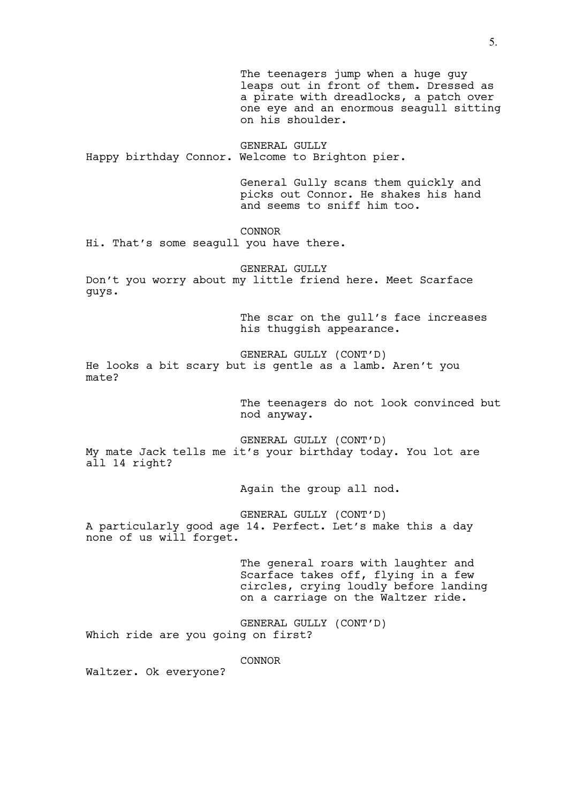The teenagers jump when a huge guy leaps out in front of them. Dressed as a pirate with dreadlocks, a patch over one eye and an enormous seagull sitting on his shoulder.

GENERAL GULLY Happy birthday Connor. Welcome to Brighton pier.

> General Gully scans them quickly and picks out Connor. He shakes his hand and seems to sniff him too.

CONNOR

Hi. That's some seagull you have there.

GENERAL GULLY Don't you worry about my little friend here. Meet Scarface guys.

> The scar on the gull's face increases his thuggish appearance.

GENERAL GULLY (CONT'D) He looks a bit scary but is gentle as a lamb. Aren't you mate?

> The teenagers do not look convinced but nod anyway.

GENERAL GULLY (CONT'D) My mate Jack tells me it's your birthday today. You lot are all 14 right?

Again the group all nod.

GENERAL GULLY (CONT'D) A particularly good age 14. Perfect. Let's make this a day none of us will forget.

> The general roars with laughter and Scarface takes off, flying in a few circles, crying loudly before landing on a carriage on the Waltzer ride.

GENERAL GULLY (CONT'D) Which ride are you going on first?

CONNOR

Waltzer. Ok everyone?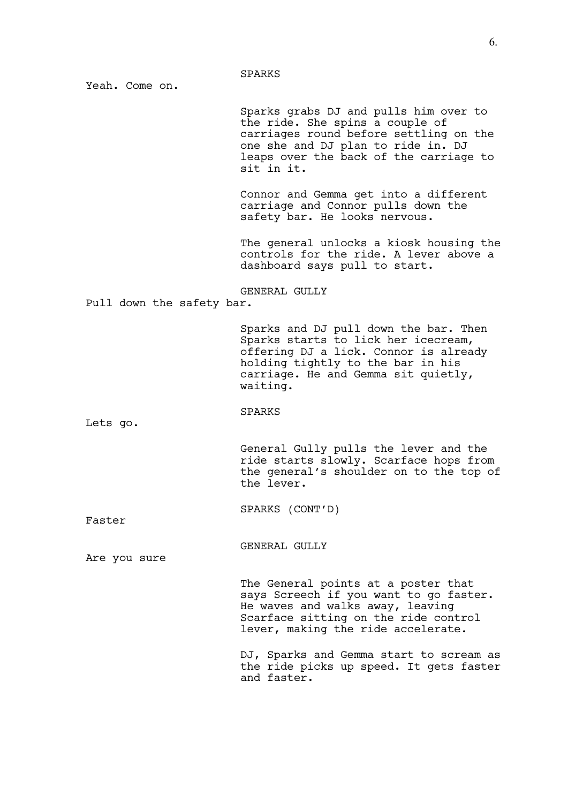Yeah. Come on.

Sparks grabs DJ and pulls him over to the ride. She spins a couple of carriages round before settling on the one she and DJ plan to ride in. DJ leaps over the back of the carriage to sit in it.

Connor and Gemma get into a different carriage and Connor pulls down the safety bar. He looks nervous.

The general unlocks a kiosk housing the controls for the ride. A lever above a dashboard says pull to start.

#### GENERAL GULLY

Pull down the safety bar.

Sparks and DJ pull down the bar. Then Sparks starts to lick her icecream, offering DJ a lick. Connor is already holding tightly to the bar in his carriage. He and Gemma sit quietly, waiting.

### SPARKS

Lets go.

General Gully pulls the lever and the ride starts slowly. Scarface hops from the general's shoulder on to the top of the lever.

SPARKS (CONT'D)

Faster

GENERAL GULLY

Are you sure

The General points at a poster that says Screech if you want to go faster. He waves and walks away, leaving Scarface sitting on the ride control lever, making the ride accelerate.

DJ, Sparks and Gemma start to scream as the ride picks up speed. It gets faster and faster.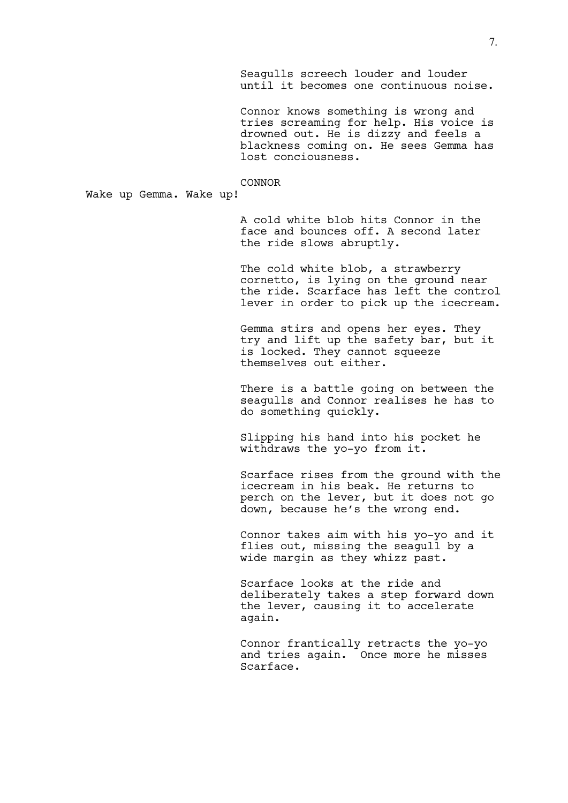Seagulls screech louder and louder until it becomes one continuous noise.

Connor knows something is wrong and tries screaming for help. His voice is drowned out. He is dizzy and feels a blackness coming on. He sees Gemma has lost conciousness.

## CONNOR

Wake up Gemma. Wake up!

A cold white blob hits Connor in the face and bounces off. A second later the ride slows abruptly.

The cold white blob, a strawberry cornetto, is lying on the ground near the ride. Scarface has left the control lever in order to pick up the icecream.

Gemma stirs and opens her eyes. They try and lift up the safety bar, but it is locked. They cannot squeeze themselves out either.

There is a battle going on between the seagulls and Connor realises he has to do something quickly.

Slipping his hand into his pocket he withdraws the yo-yo from it.

Scarface rises from the ground with the icecream in his beak. He returns to perch on the lever, but it does not go down, because he's the wrong end.

Connor takes aim with his yo-yo and it flies out, missing the seagull by a wide margin as they whizz past.

Scarface looks at the ride and deliberately takes a step forward down the lever, causing it to accelerate again.

Connor frantically retracts the yo-yo and tries again. Once more he misses Scarface.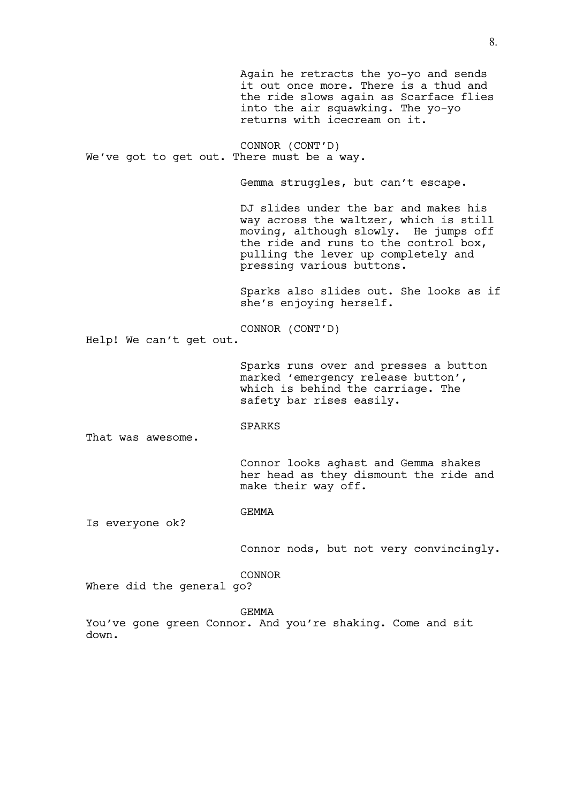Again he retracts the yo-yo and sends it out once more. There is a thud and the ride slows again as Scarface flies into the air squawking. The yo-yo returns with icecream on it. CONNOR (CONT'D) We've got to get out. There must be a way. Gemma struggles, but can't escape. DJ slides under the bar and makes his way across the waltzer, which is still moving, although slowly. He jumps off the ride and runs to the control box, pulling the lever up completely and pressing various buttons. Sparks also slides out. She looks as if she's enjoying herself. CONNOR (CONT'D) Help! We can't get out. Sparks runs over and presses a button marked 'emergency release button', which is behind the carriage. The safety bar rises easily. SPARKS That was awesome. Connor looks aghast and Gemma shakes her head as they dismount the ride and make their way off. GEMMA Is everyone ok? Connor nods, but not very convincingly. CONNOR Where did the general go?

GEMMA

You've gone green Connor. And you're shaking. Come and sit down.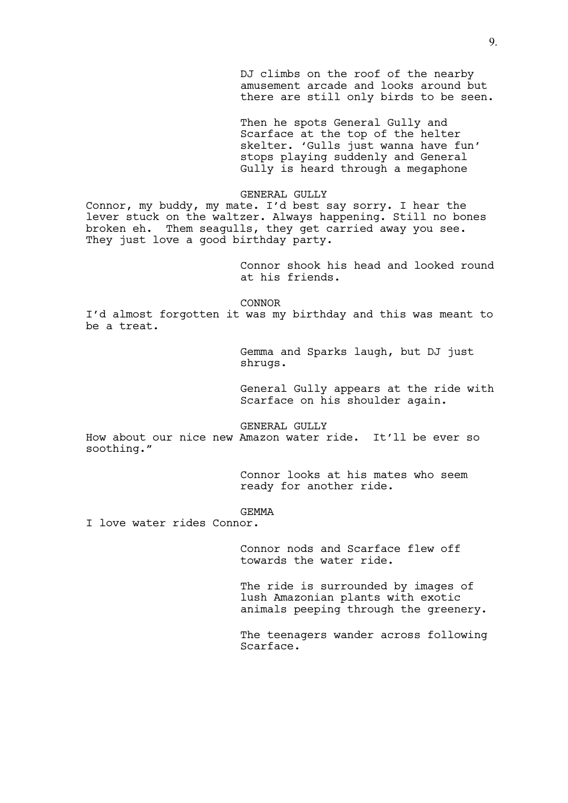DJ climbs on the roof of the nearby amusement arcade and looks around but there are still only birds to be seen.

Then he spots General Gully and Scarface at the top of the helter skelter. 'Gulls just wanna have fun' stops playing suddenly and General Gully is heard through a megaphone

### GENERAL GULLY

Connor, my buddy, my mate. I'd best say sorry. I hear the lever stuck on the waltzer. Always happening. Still no bones broken eh. Them seagulls, they get carried away you see. They just love a good birthday party.

> Connor shook his head and looked round at his friends.

CONNOR

I'd almost forgotten it was my birthday and this was meant to be a treat.

> Gemma and Sparks laugh, but DJ just shrugs.

General Gully appears at the ride with Scarface on his shoulder again.

GENERAL GULLY

How about our nice new Amazon water ride. It'll be ever so soothing."

> Connor looks at his mates who seem ready for another ride.

## GEMMA

I love water rides Connor.

Connor nods and Scarface flew off towards the water ride.

The ride is surrounded by images of lush Amazonian plants with exotic animals peeping through the greenery.

The teenagers wander across following Scarface.